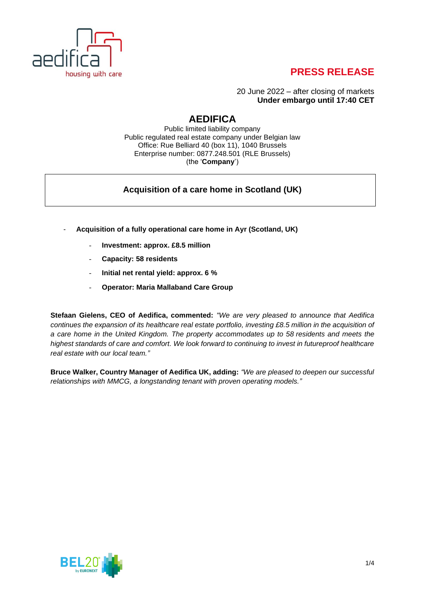

# **PRESS RELEASE**

20 June 2022 – after closing of markets **Under embargo until 17:40 CET**

## **AEDIFICA**

Public limited liability company Public regulated real estate company under Belgian law Office: Rue Belliard 40 (box 11), 1040 Brussels Enterprise number: 0877.248.501 (RLE Brussels) (the '**Company**')

### **Acquisition of a care home in Scotland (UK)**

- **Acquisition of a fully operational care home in Ayr (Scotland, UK)**
	- **Investment: approx. £8.5 million**
	- **Capacity: 58 residents**
	- **Initial net rental yield: approx. 6 %**
	- **Operator: Maria Mallaband Care Group**

**Stefaan Gielens, CEO of Aedifica, commented:** *"We are very pleased to announce that Aedifica continues the expansion of its healthcare real estate portfolio, investing £8.5 million in the acquisition of a care home in the United Kingdom. The property accommodates up to 58 residents and meets the highest standards of care and comfort. We look forward to continuing to invest in futureproof healthcare real estate with our local team."*

**Bruce Walker, Country Manager of Aedifica UK, adding:** *"We are pleased to deepen our successful relationships with MMCG, a longstanding tenant with proven operating models."*

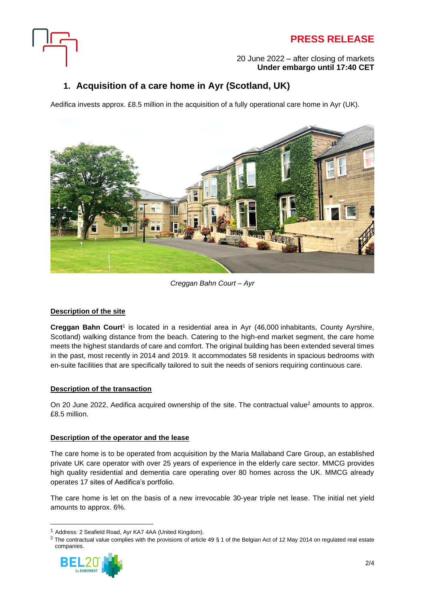



#### 20 June 2022 – after closing of markets **Under embargo until 17:40 CET**

## **1. Acquisition of a care home in Ayr (Scotland, UK)**

Aedifica invests approx. £8.5 million in the acquisition of a fully operational care home in Ayr (UK).



*Creggan Bahn Court – Ayr*

#### **Description of the site**

**Creggan Bahn Court**<sup>1</sup> is located in a residential area in Ayr (46,000 inhabitants, County Ayrshire, Scotland) walking distance from the beach. Catering to the high-end market segment, the care home meets the highest standards of care and comfort. The original building has been extended several times in the past, most recently in 2014 and 2019. It accommodates 58 residents in spacious bedrooms with en-suite facilities that are specifically tailored to suit the needs of seniors requiring continuous care.

### **Description of the transaction**

On 20 June 2022, Aedifica acquired ownership of the site. The contractual value<sup>2</sup> amounts to approx. £8.5 million.

#### **Description of the operator and the lease**

The care home is to be operated from acquisition by the Maria Mallaband Care Group, an established private UK care operator with over 25 years of experience in the elderly care sector. MMCG provides high quality residential and dementia care operating over 80 homes across the UK. MMCG already operates 17 sites of Aedifica's portfolio.

The care home is let on the basis of a new irrevocable 30-year triple net lease. The initial net yield amounts to approx. 6%.

<sup>&</sup>lt;sup>2</sup> The contractual value complies with the provisions of article 49 § 1 of the Belgian Act of 12 May 2014 on regulated real estate companies.



<sup>1</sup> Address: 2 Seafield Road, Ayr KA7 4AA (United Kingdom).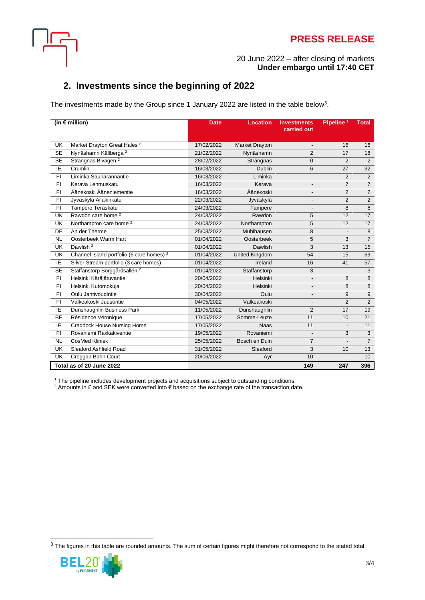



#### 20 June 2022 – after closing of markets **Under embargo until 17:40 CET**

### **2. Investments since the beginning of 2022**

The investments made by the Group since 1 January 2022 are listed in the table below<sup>3</sup>.

| (in $\epsilon$ million)  |                                                      | <b>Date</b> | <b>Location</b>       | <b>Investments</b><br>carried out | Pipeline <sup>1</sup>    | <b>Total</b>   |
|--------------------------|------------------------------------------------------|-------------|-----------------------|-----------------------------------|--------------------------|----------------|
| UK                       | Market Drayton Great Hales <sup>2</sup>              | 17/02/2022  | Market Drayton        | $\overline{\phantom{a}}$          | 16                       | 16             |
| <b>SE</b>                | Nynäshamn Källberga <sup>2</sup>                     | 21/02/2022  | Nynäshamn             | $\overline{2}$                    | 17                       | 18             |
| <b>SE</b>                | Strängnäs Bivägen <sup>2</sup>                       | 28/02/2022  | Strängnäs             | 0                                 | 2                        | $\overline{2}$ |
| ΙE                       | Crumlin                                              | 16/03/2022  | Dublin                | 6                                 | 27                       | 32             |
| F1                       | Liminka Saunarannantie                               | 16/03/2022  | Liminka               | $\overline{\phantom{0}}$          | 2                        | $\overline{2}$ |
| $\overline{FI}$          | Kerava Lehmuskatu                                    | 16/03/2022  | Kerava                | $\overline{\phantom{a}}$          | $\overline{7}$           | $\overline{7}$ |
| F1                       | Äänekoski Ääneniementie                              | 16/03/2022  | Äänekoski             | $\overline{a}$                    | $\overline{2}$           | $\overline{2}$ |
| F1                       | Jyväskylä Ailakinkatu                                | 22/03/2022  | Jyväskylä             | $\overline{\phantom{a}}$          | $\overline{2}$           | $\overline{2}$ |
| F1                       | Tampere Teräskatu                                    | 24/03/2022  | Tampere               | $\overline{a}$                    | 8                        | $\overline{8}$ |
| UK                       | Rawdon care home <sup>2</sup>                        | 24/03/2022  | Rawdon                | 5                                 | 12                       | 17             |
| UK                       | Northampton care home <sup>2</sup>                   | 24/03/2022  | Northampton           | 5                                 | 12                       | 17             |
| DE                       | An der Therme                                        | 25/03/2022  | Mühlhausen            | 8                                 | $\overline{\phantom{a}}$ | $\overline{8}$ |
| <b>NL</b>                | Oosterbeek Warm Hart                                 | 01/04/2022  | Oosterbeek            | 5                                 | 3                        | $\overline{7}$ |
| UK                       | Dawlish <sup>2</sup>                                 | 01/04/2022  | Dawlish               | 3                                 | 13                       | 15             |
| $\overline{\mathsf{UK}}$ | Channel Island portfolio (6 care homes) <sup>2</sup> | 01/04/2022  | <b>United Kingdom</b> | 54                                | 15                       | 69             |
| IE                       | Silver Stream portfolio (3 care homes)               | 01/04/2022  | Ireland               | 16                                | 41                       | 57             |
| $\overline{\text{SE}}$   | Staffanstorp Borggårdsallén <sup>2</sup>             | 01/04/2022  | Staffanstorp          | 3                                 | $\overline{\phantom{a}}$ | 3              |
| F1                       | Helsinki Käräjätuvantie                              | 20/04/2022  | <b>Helsinki</b>       | $\frac{1}{2}$                     | 8                        | $\overline{8}$ |
| F1                       | Helsinki Kutomokuja                                  | 20/04/2022  | Helsinki              | $\overline{\phantom{a}}$          | 8                        | 8              |
| F1                       | Oulu Jahtivoudintie                                  | 30/04/2022  | Oulu                  | $\overline{\phantom{a}}$          | 9                        | $\overline{9}$ |
| $\overline{FI}$          | Valkeakoski Juusontie                                | 04/05/2022  | Valkeakoski           | $\overline{a}$                    | 2                        | $\overline{2}$ |
| IE                       | Dunshaughlin Business Park                           | 11/05/2022  | Dunshaughlin          | $\overline{2}$                    | 17                       | 19             |
| BE                       | Résidence Véronique                                  | 17/05/2022  | Somme-Leuze           | 11                                | 10                       | 21             |
| ΙE                       | <b>Craddock House Nursing Home</b>                   | 17/05/2022  | <b>Naas</b>           | 11                                | $\overline{\phantom{a}}$ | 11             |
| F1                       | Rovaniemi Rakkakiventie                              | 19/05/2022  | Rovaniemi             | $\overline{a}$                    | 3                        | 3              |
| <b>NL</b>                | <b>CosMed Kliniek</b>                                | 25/05/2022  | Bosch en Duin         | $\overline{7}$                    |                          | $\overline{7}$ |
| <b>UK</b>                | Sleaford Ashfield Road                               | 31/05/2022  | Sleaford              | 3                                 | 10                       | 13             |
| <b>UK</b>                | Creggan Bahn Court                                   | 20/06/2022  | Ayr                   | 10                                | $\blacksquare$           | 10             |
| Total as of 20 June 2022 |                                                      |             |                       | 149                               | 247                      | 396            |

<sup>1</sup> The pipeline includes development projects and acquisitions subject to outstanding conditions.

 $^2$  Amounts in £ and SEK were converted into € based on the exchange rate of the transaction date.

 $3$  The figures in this table are rounded amounts. The sum of certain figures might therefore not correspond to the stated total.